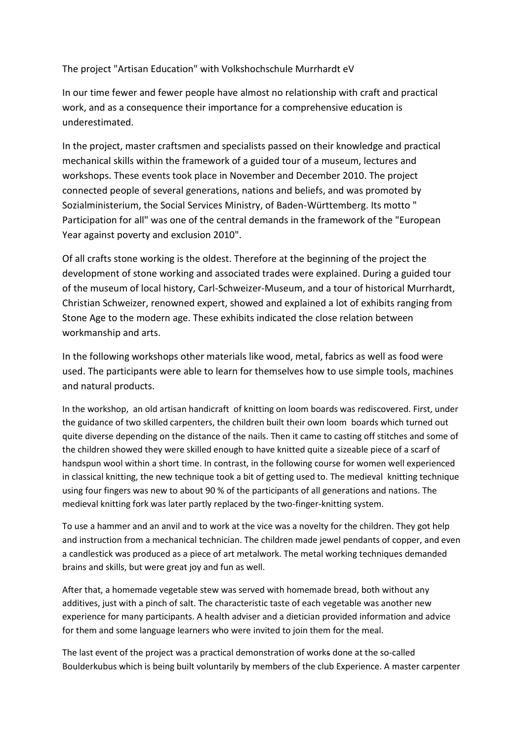The project "Artisan Education" with Volkshochschule Murrhardt eV

In our time fewer and fewer people have almost no relationship with craft and practical work, and as a consequence their importance for a comprehensive education is underestimated.

In the project, master craftsmen and specialists passed on their knowledge and practical mechanical skills within the framework of a guided tour of a museum, lectures and workshops. These events took place in November and December 2010. The project connected people of several generations, nations and beliefs, and was promoted by Sozialministerium, the Social Services Ministry, of Baden-Württemberg. Its motto " Participation for all" was one of the central demands in the framework of the "European Year against poverty and exclusion 2010".

Of all crafts stone working is the oldest. Therefore at the beginning of the project the development of stone working and associated trades were explained. During a guided tour of the museum of local history, Carl-Schweizer-Museum, and a tour of historical Murrhardt, Christian Schweizer, renowned expert, showed and explained a lot of exhibits ranging from Stone Age to the modern age. These exhibits indicated the close relation between workmanship and arts.

In the following workshops other materials like wood, metal, fabrics as well as food were used. The participants were able to learn for themselves how to use simple tools, machines and natural products.

In the workshop, an old artisan handicraft of knitting on loom boards was rediscovered. First, under the guidance of two skilled carpenters, the children built their own loom boards which turned out quite diverse depending on the distance of the nails. Then it came to casting off stitches and some of the children showed they were skilled enough to have knitted quite a sizeable piece of a scarf of handspun wool within a short time. In contrast, in the following course for women well experienced in classical knitting, the new technique took a bit of getting used to. The medieval knitting technique using four fingers was new to about 90 % of the participants of all generations and nations. The medieval knitting fork was later partly replaced by the two-finger-knitting system.

To use a hammer and an anvil and to work at the vice was a novelty for the children. They got help and instruction from a mechanical technician. The children made jewel pendants of copper, and even a candlestick was produced as a piece of art metalwork. The metal working techniques demanded brains and skills, but were great joy and fun as well.

After that, a homemade vegetable stew was served with homemade bread, both without any additives, just with a pinch of salt. The characteristic taste of each vegetable was another new experience for many participants. A health adviser and a dietician provided information and advice for them and some language learners who were invited to join them for the meal.

The last event of the project was a practical demonstration of works done at the so-called Boulderkubus which is being built voluntarily by members of the club Experience. A master carpenter